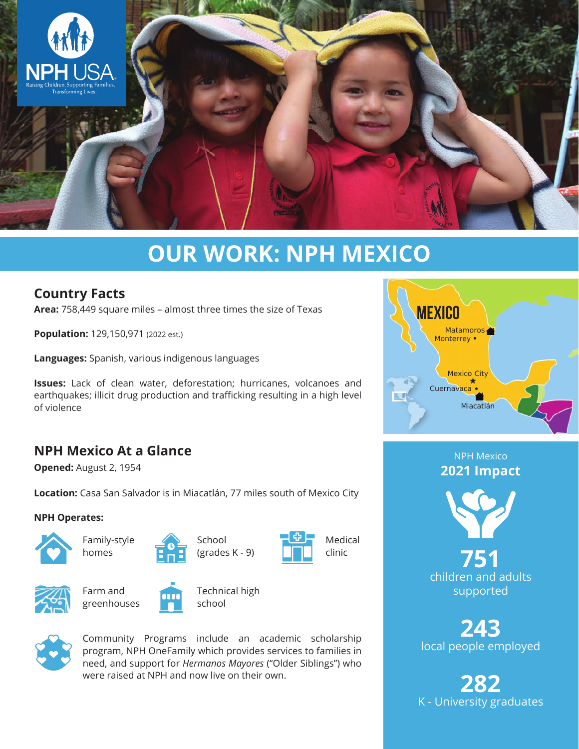

# **OUR WORK: NPH MEXICO**

## **Country Facts**

**Area:** 758,449 square miles – almost three times the size of Texas

**Population:** 129,150,971 (2022 est.)

**Languages:** Spanish, various indigenous languages

**Issues:** Lack of clean water, deforestation; hurricanes, volcanoes and earthquakes; illicit drug production and trafficking resulting in a high level of violence

## **NPH Mexico At a Glance**

**Opened:** August 2, 1954

**Location:** Casa San Salvador is in Miacatlán, 77 miles south of Mexico City

#### **NPH Operates:**



Family-style homes



School (grades K - 9)





Farm and greenhouses



Technical high school



Community Programs include an academic scholarship program, NPH OneFamily which provides services to families in need, and support for *Hermanos Mayores* ("Older Siblings") who were raised at NPH and now live on their own.



NPH Mexico **2021 Impact**



**751** children and adults supported

**243** local people employed

**282** K - University graduates